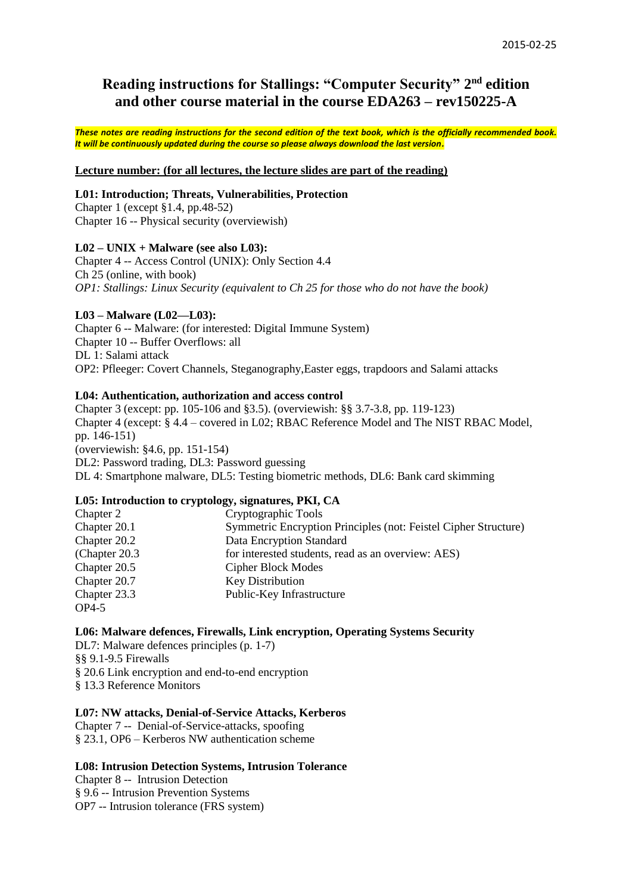# **Reading instructions for Stallings: "Computer Security" 2 nd edition and other course material in the course EDA263 – rev150225-A**

*These notes are reading instructions for the second edition of the text book, which is the officially recommended book. It will be continuously updated during the course so please always download the last version.*

## **Lecture number: (for all lectures, the lecture slides are part of the reading)**

## **L01: Introduction; Threats, Vulnerabilities, Protection**

Chapter 1 (except §1.4, pp.48-52) Chapter 16 -- Physical security (overviewish)

#### **L02 – UNIX + Malware (see also L03):**

Chapter 4 -- Access Control (UNIX): Only Section 4.4 Ch 25 (online, with book) *OP1: Stallings: Linux Security (equivalent to Ch 25 for those who do not have the book)*

#### **L03 – Malware (L02—L03):**

Chapter 6 -- Malware: (for interested: Digital Immune System) Chapter 10 -- Buffer Overflows: all DL 1: Salami attack OP2: Pfleeger: Covert Channels, Steganography,Easter eggs, trapdoors and Salami attacks

#### **L04: Authentication, authorization and access control**

Chapter 3 (except: pp. 105-106 and §3.5). (overviewish: §§ 3.7-3.8, pp. 119-123) Chapter 4 (except: § 4.4 – covered in L02; RBAC Reference Model and The NIST RBAC Model, pp. 146-151) (overviewish: §4.6, pp. 151-154) DL2: Password trading, DL3: Password guessing DL 4: Smartphone malware, DL5: Testing biometric methods, DL6: Bank card skimming

#### **L05: Introduction to cryptology, signatures, PKI, CA**

| Cryptographic Tools                                             |
|-----------------------------------------------------------------|
| Symmetric Encryption Principles (not: Feistel Cipher Structure) |
| Data Encryption Standard                                        |
| for interested students, read as an overview: AES)              |
| <b>Cipher Block Modes</b>                                       |
| <b>Key Distribution</b>                                         |
| Public-Key Infrastructure                                       |
|                                                                 |
|                                                                 |

#### **L06: Malware defences, Firewalls, Link encryption, Operating Systems Security**

DL7: Malware defences principles (p. 1-7) §§ 9.1-9.5 Firewalls § 20.6 Link encryption and end-to-end encryption § 13.3 Reference Monitors

## **L07: NW attacks, Denial-of-Service Attacks, Kerberos**

Chapter 7 -- Denial-of-Service-attacks, spoofing § 23.1, OP6 – Kerberos NW authentication scheme

## **L08: Intrusion Detection Systems, Intrusion Tolerance**

Chapter 8 -- Intrusion Detection § 9.6 -- Intrusion Prevention Systems OP7 -- Intrusion tolerance (FRS system)